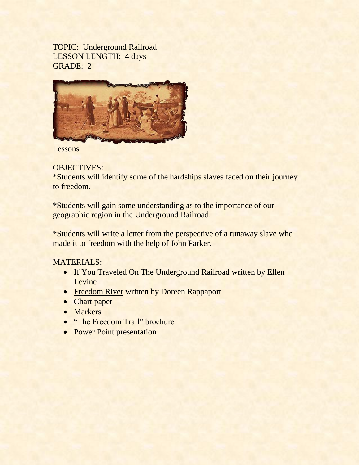TOPIC: Underground Railroad LESSON LENGTH: 4 days GRADE: 2



Lessons

# OBJECTIVES:

\*Students will identify some of the hardships slaves faced on their journey to freedom.

\*Students will gain some understanding as to the importance of our geographic region in the Underground Railroad.

\*Students will write a letter from the perspective of a runaway slave who made it to freedom with the help of John Parker.

# MATERIALS:

- If You Traveled On The Underground Railroad written by Ellen Levine
- **Freedom River written by Doreen Rappaport**
- Chart paper
- Markers
- "The Freedom Trail" brochure
- Power Point presentation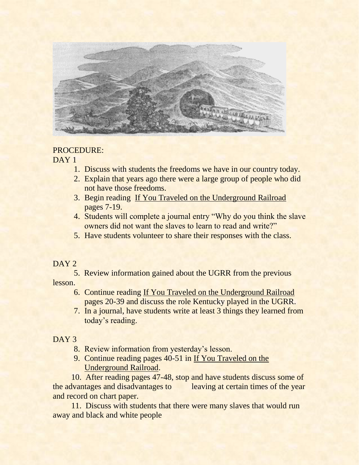

### PROCEDURE:

#### DAY<sub>1</sub>

- 1. Discuss with students the freedoms we have in our country today.
- 2. Explain that years ago there were a large group of people who did not have those freedoms.
- 3. Begin reading If You Traveled on the Underground Railroad pages 7-19.
- 4. Students will complete a journal entry "Why do you think the slave owners did not want the slaves to learn to read and write?"
- 5. Have students volunteer to share their responses with the class.

#### DAY<sub>2</sub>

5. Review information gained about the UGRR from the previous lesson.

- 6. Continue reading If You Traveled on the Underground Railroad pages 20-39 and discuss the role Kentucky played in the UGRR.
- 7. In a journal, have students write at least 3 things they learned from today's reading.

## DAY<sub>3</sub>

- 8. Review information from yesterday's lesson.
- 9. Continue reading pages 40-51 in If You Traveled on the Underground Railroad.

 10. After reading pages 47-48, stop and have students discuss some of the advantages and disadvantages to leaving at certain times of the year and record on chart paper.

 11. Discuss with students that there were many slaves that would run away and black and white people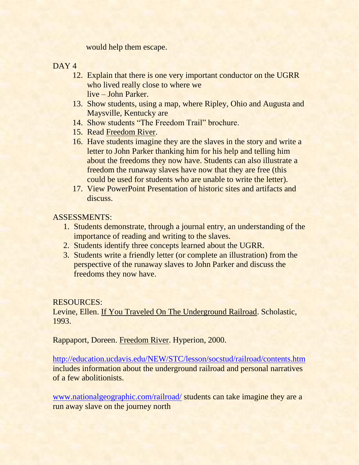would help them escape.

DAY<sub>4</sub>

- 12. Explain that there is one very important conductor on the UGRR who lived really close to where we live – John Parker.
- 13. Show students, using a map, where Ripley, Ohio and Augusta and Maysville, Kentucky are
- 14. Show students "The Freedom Trail" brochure.
- 15. Read Freedom River.
- 16. Have students imagine they are the slaves in the story and write a letter to John Parker thanking him for his help and telling him about the freedoms they now have. Students can also illustrate a freedom the runaway slaves have now that they are free (this could be used for students who are unable to write the letter).
- 17. View PowerPoint Presentation of historic sites and artifacts and discuss.

## ASSESSMENTS:

- 1. Students demonstrate, through a journal entry, an understanding of the importance of reading and writing to the slaves.
- 2. Students identify three concepts learned about the UGRR.
- 3. Students write a friendly letter (or complete an illustration) from the perspective of the runaway slaves to John Parker and discuss the freedoms they now have.

RESOURCES:

Levine, Ellen. If You Traveled On The Underground Railroad. Scholastic, 1993.

Rappaport, Doreen. Freedom River. Hyperion, 2000.

<http://education.ucdavis.edu/NEW/STC/lesson/socstud/railroad/contents.htm> includes information about the underground railroad and personal narratives of a few abolitionists.

[www.nationalgeographic.com/railroad/](http://www.nationalgeographic.com/railroad/) students can take imagine they are a run away slave on the journey north